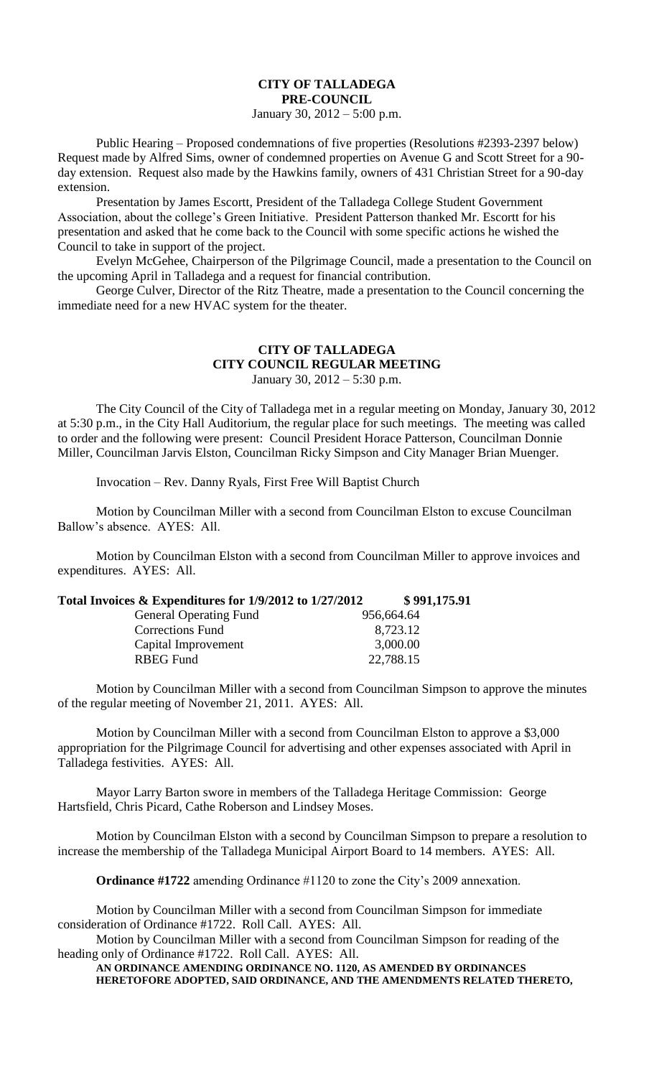## **CITY OF TALLADEGA PRE-COUNCIL**

January 30, 2012 – 5:00 p.m.

Public Hearing – Proposed condemnations of five properties (Resolutions #2393-2397 below) Request made by Alfred Sims, owner of condemned properties on Avenue G and Scott Street for a 90 day extension. Request also made by the Hawkins family, owners of 431 Christian Street for a 90-day extension.

Presentation by James Escortt, President of the Talladega College Student Government Association, about the college's Green Initiative. President Patterson thanked Mr. Escortt for his presentation and asked that he come back to the Council with some specific actions he wished the Council to take in support of the project.

Evelyn McGehee, Chairperson of the Pilgrimage Council, made a presentation to the Council on the upcoming April in Talladega and a request for financial contribution.

George Culver, Director of the Ritz Theatre, made a presentation to the Council concerning the immediate need for a new HVAC system for the theater.

## **CITY OF TALLADEGA CITY COUNCIL REGULAR MEETING**

January 30, 2012 – 5:30 p.m.

The City Council of the City of Talladega met in a regular meeting on Monday, January 30, 2012 at 5:30 p.m., in the City Hall Auditorium, the regular place for such meetings. The meeting was called to order and the following were present: Council President Horace Patterson, Councilman Donnie Miller, Councilman Jarvis Elston, Councilman Ricky Simpson and City Manager Brian Muenger.

Invocation – Rev. Danny Ryals, First Free Will Baptist Church

Motion by Councilman Miller with a second from Councilman Elston to excuse Councilman Ballow's absence. AYES: All.

Motion by Councilman Elston with a second from Councilman Miller to approve invoices and expenditures. AYES: All.

## **Total Invoices & Expenditures for 1/9/2012 to 1/27/2012 \$ 991,175.91**

| <b>General Operating Fund</b> | 956,664.64 |
|-------------------------------|------------|
| <b>Corrections Fund</b>       | 8,723.12   |
| Capital Improvement           | 3,000.00   |
| <b>RBEG</b> Fund              | 22,788.15  |

Motion by Councilman Miller with a second from Councilman Simpson to approve the minutes of the regular meeting of November 21, 2011. AYES: All.

Motion by Councilman Miller with a second from Councilman Elston to approve a \$3,000 appropriation for the Pilgrimage Council for advertising and other expenses associated with April in Talladega festivities. AYES: All.

Mayor Larry Barton swore in members of the Talladega Heritage Commission: George Hartsfield, Chris Picard, Cathe Roberson and Lindsey Moses.

Motion by Councilman Elston with a second by Councilman Simpson to prepare a resolution to increase the membership of the Talladega Municipal Airport Board to 14 members. AYES: All.

**Ordinance #1722** amending Ordinance #1120 to zone the City's 2009 annexation.

Motion by Councilman Miller with a second from Councilman Simpson for immediate consideration of Ordinance #1722. Roll Call. AYES: All.

Motion by Councilman Miller with a second from Councilman Simpson for reading of the heading only of Ordinance #1722. Roll Call. AYES: All.

**AN ORDINANCE AMENDING ORDINANCE NO. 1120, AS AMENDED BY ORDINANCES HERETOFORE ADOPTED, SAID ORDINANCE, AND THE AMENDMENTS RELATED THERETO,**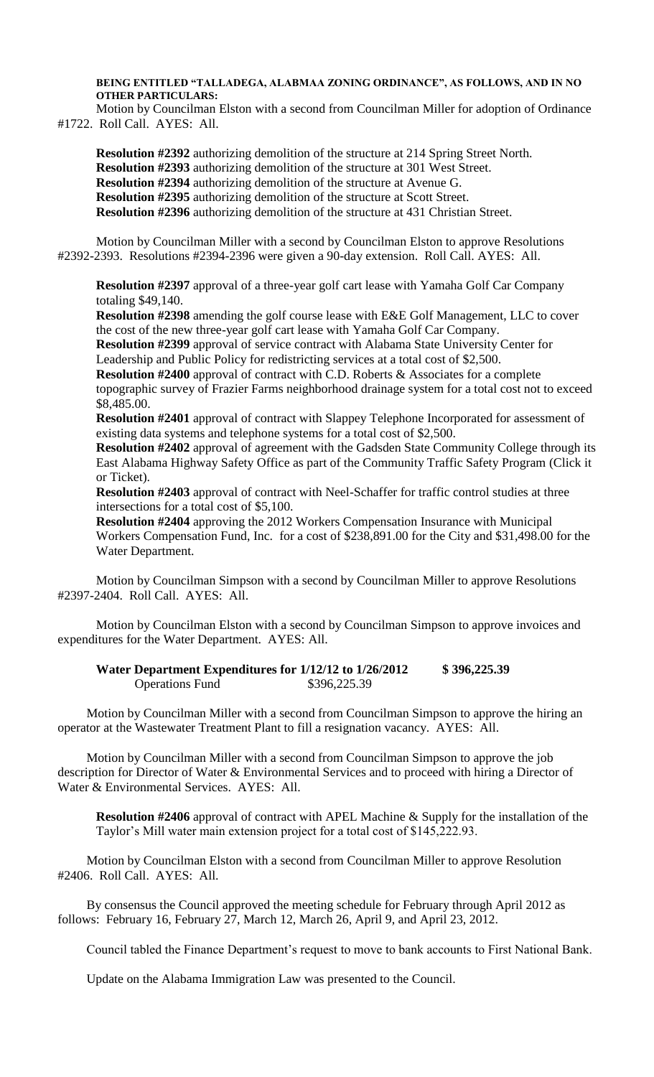**BEING ENTITLED "TALLADEGA, ALABMAA ZONING ORDINANCE", AS FOLLOWS, AND IN NO OTHER PARTICULARS:**

Motion by Councilman Elston with a second from Councilman Miller for adoption of Ordinance #1722. Roll Call. AYES: All.

**Resolution #2392** authorizing demolition of the structure at 214 Spring Street North. **Resolution #2393** authorizing demolition of the structure at 301 West Street. **Resolution #2394** authorizing demolition of the structure at Avenue G. **Resolution #2395** authorizing demolition of the structure at Scott Street. **Resolution #2396** authorizing demolition of the structure at 431 Christian Street.

Motion by Councilman Miller with a second by Councilman Elston to approve Resolutions #2392-2393. Resolutions #2394-2396 were given a 90-day extension. Roll Call. AYES: All.

**Resolution #2397** approval of a three-year golf cart lease with Yamaha Golf Car Company totaling \$49,140.

**Resolution #2398** amending the golf course lease with E&E Golf Management, LLC to cover the cost of the new three-year golf cart lease with Yamaha Golf Car Company.

**Resolution #2399** approval of service contract with Alabama State University Center for Leadership and Public Policy for redistricting services at a total cost of \$2,500.

**Resolution #2400** approval of contract with C.D. Roberts & Associates for a complete topographic survey of Frazier Farms neighborhood drainage system for a total cost not to exceed \$8,485.00.

**Resolution #2401** approval of contract with Slappey Telephone Incorporated for assessment of existing data systems and telephone systems for a total cost of \$2,500.

**Resolution #2402** approval of agreement with the Gadsden State Community College through its East Alabama Highway Safety Office as part of the Community Traffic Safety Program (Click it or Ticket).

**Resolution #2403** approval of contract with Neel-Schaffer for traffic control studies at three intersections for a total cost of \$5,100.

**Resolution #2404** approving the 2012 Workers Compensation Insurance with Municipal Workers Compensation Fund, Inc. for a cost of \$238,891.00 for the City and \$31,498.00 for the Water Department.

Motion by Councilman Simpson with a second by Councilman Miller to approve Resolutions #2397-2404. Roll Call. AYES: All.

Motion by Councilman Elston with a second by Councilman Simpson to approve invoices and expenditures for the Water Department. AYES: All.

**Water Department Expenditures for 1/12/12 to 1/26/2012 \$ 396,225.39** Operations Fund \$396,225.39

Motion by Councilman Miller with a second from Councilman Simpson to approve the hiring an operator at the Wastewater Treatment Plant to fill a resignation vacancy. AYES: All.

Motion by Councilman Miller with a second from Councilman Simpson to approve the job description for Director of Water & Environmental Services and to proceed with hiring a Director of Water & Environmental Services. AYES: All.

**Resolution #2406** approval of contract with APEL Machine & Supply for the installation of the Taylor's Mill water main extension project for a total cost of \$145,222.93.

Motion by Councilman Elston with a second from Councilman Miller to approve Resolution #2406. Roll Call. AYES: All.

By consensus the Council approved the meeting schedule for February through April 2012 as follows: February 16, February 27, March 12, March 26, April 9, and April 23, 2012.

Council tabled the Finance Department's request to move to bank accounts to First National Bank.

Update on the Alabama Immigration Law was presented to the Council.